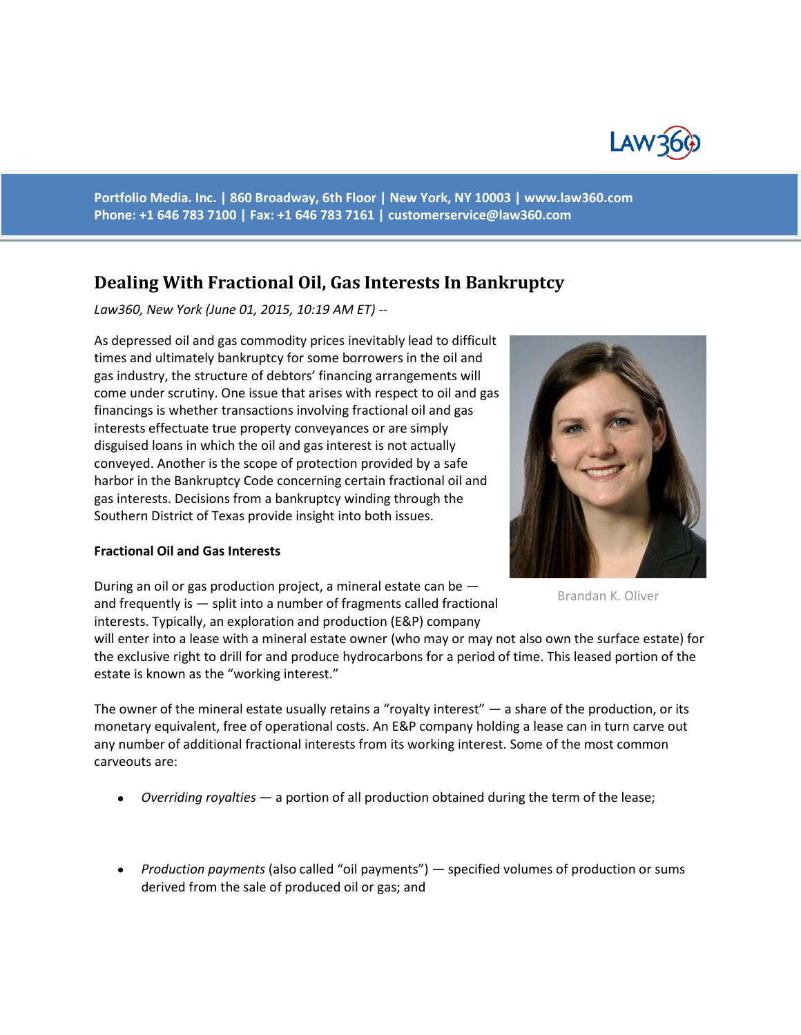

**Portfolio Media. Inc. | 860 Broadway, 6th Floor | New York, NY 10003 | www.law360.com Phone: +1 646 783 7100 | Fax: +1 646 783 7161 | [customerservice@law360.com](mailto:customerservice@law360.com)**

# **Dealing With Fractional Oil, Gas Interests In Bankruptcy**

*Law360, New York (June 01, 2015, 10:19 AM ET) --*

As depressed oil and gas commodity prices inevitably lead to difficult times and ultimately bankruptcy for some borrowers in the oil and gas industry, the structure of debtors' financing arrangements will come under scrutiny. One issue that arises with respect to oil and gas financings is whether transactions involving fractional oil and gas interests effectuate true property conveyances or are simply disguised loans in which the oil and gas interest is not actually conveyed. Another is the scope of protection provided by a safe harbor in the Bankruptcy Code concerning certain fractional oil and gas interests. Decisions from a bankruptcy winding through the Southern District of Texas provide insight into both issues.

#### **Fractional Oil and Gas Interests**

During an oil or gas production project, a mineral estate can be and frequently is — split into a number of fragments called fractional interests. Typically, an exploration and production (E&P) company

will enter into a lease with a mineral estate owner (who may or may not also own the surface estate) for the exclusive right to drill for and produce hydrocarbons for a period of time. This leased portion of the estate is known as the "working interest."

The owner of the mineral estate usually retains a "royalty interest" — a share of the production, or its monetary equivalent, free of operational costs. An E&P company holding a lease can in turn carve out any number of additional fractional interests from its working interest. Some of the most common carveouts are:

- *Overriding royalties* a portion of all production obtained during the term of the lease;
- *Production payments* (also called "oil payments") specified volumes of production or sums derived from the sale of produced oil or gas; and



Brandan K. Oliver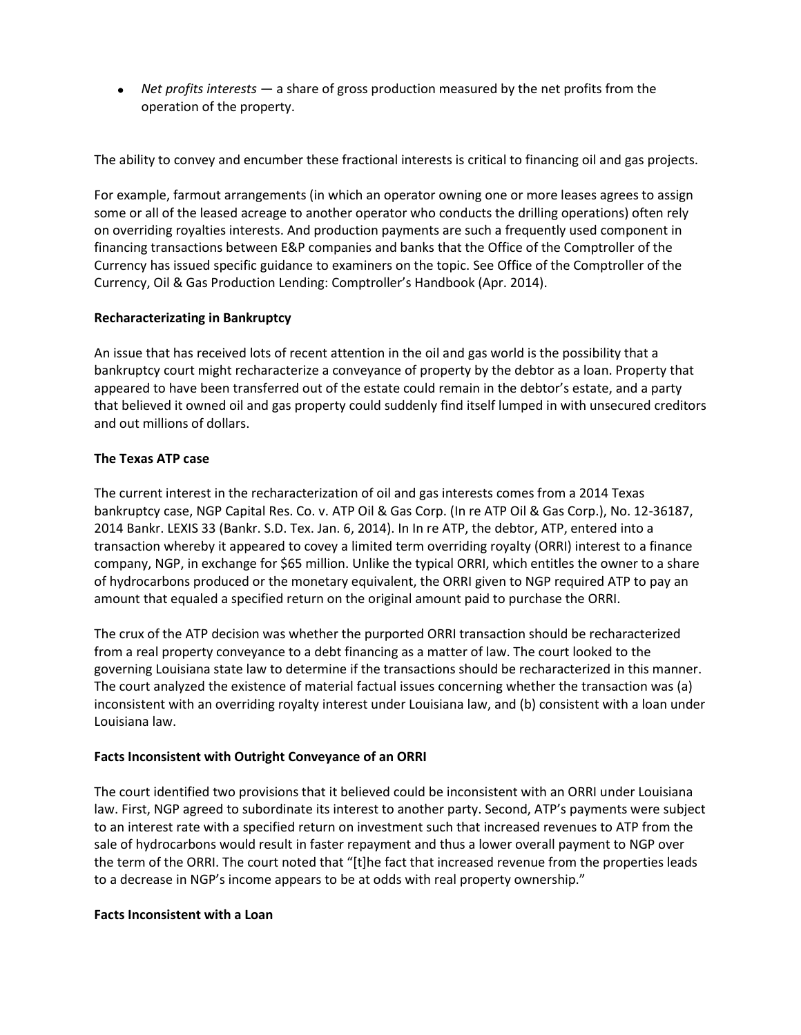*Net profits interests* — a share of gross production measured by the net profits from the operation of the property.

The ability to convey and encumber these fractional interests is critical to financing oil and gas projects.

For example, farmout arrangements (in which an operator owning one or more leases agrees to assign some or all of the leased acreage to another operator who conducts the drilling operations) often rely on overriding royalties interests. And production payments are such a frequently used component in financing transactions between E&P companies and banks that the Office of the Comptroller of the Currency has issued specific guidance to examiners on the topic. See Office of the Comptroller of the Currency, Oil & Gas Production Lending: Comptroller's Handbook (Apr. 2014).

## **Recharacterizating in Bankruptcy**

An issue that has received lots of recent attention in the oil and gas world is the possibility that a bankruptcy court might recharacterize a conveyance of property by the debtor as a loan. Property that appeared to have been transferred out of the estate could remain in the debtor's estate, and a party that believed it owned oil and gas property could suddenly find itself lumped in with unsecured creditors and out millions of dollars.

#### **The Texas ATP case**

The current interest in the recharacterization of oil and gas interests comes from a 2014 Texas bankruptcy case, NGP Capital Res. Co. v. ATP Oil & Gas Corp. (In re ATP Oil & Gas Corp.), No. 12-36187, 2014 Bankr. LEXIS 33 (Bankr. S.D. Tex. Jan. 6, 2014). In In re ATP, the debtor, ATP, entered into a transaction whereby it appeared to covey a limited term overriding royalty (ORRI) interest to a finance company, NGP, in exchange for \$65 million. Unlike the typical ORRI, which entitles the owner to a share of hydrocarbons produced or the monetary equivalent, the ORRI given to NGP required ATP to pay an amount that equaled a specified return on the original amount paid to purchase the ORRI.

The crux of the ATP decision was whether the purported ORRI transaction should be recharacterized from a real property conveyance to a debt financing as a matter of law. The court looked to the governing Louisiana state law to determine if the transactions should be recharacterized in this manner. The court analyzed the existence of material factual issues concerning whether the transaction was (a) inconsistent with an overriding royalty interest under Louisiana law, and (b) consistent with a loan under Louisiana law.

## **Facts Inconsistent with Outright Conveyance of an ORRI**

The court identified two provisions that it believed could be inconsistent with an ORRI under Louisiana law. First, NGP agreed to subordinate its interest to another party. Second, ATP's payments were subject to an interest rate with a specified return on investment such that increased revenues to ATP from the sale of hydrocarbons would result in faster repayment and thus a lower overall payment to NGP over the term of the ORRI. The court noted that "[t]he fact that increased revenue from the properties leads to a decrease in NGP's income appears to be at odds with real property ownership."

#### **Facts Inconsistent with a Loan**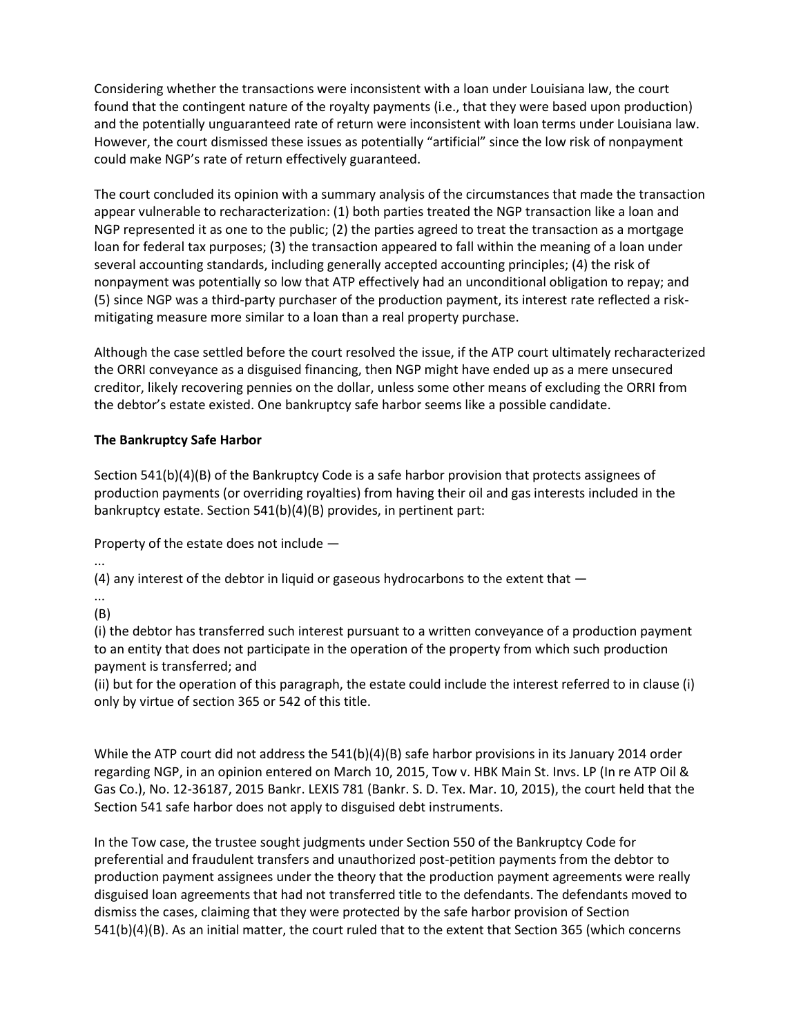Considering whether the transactions were inconsistent with a loan under Louisiana law, the court found that the contingent nature of the royalty payments (i.e., that they were based upon production) and the potentially unguaranteed rate of return were inconsistent with loan terms under Louisiana law. However, the court dismissed these issues as potentially "artificial" since the low risk of nonpayment could make NGP's rate of return effectively guaranteed.

The court concluded its opinion with a summary analysis of the circumstances that made the transaction appear vulnerable to recharacterization: (1) both parties treated the NGP transaction like a loan and NGP represented it as one to the public; (2) the parties agreed to treat the transaction as a mortgage loan for federal tax purposes; (3) the transaction appeared to fall within the meaning of a loan under several accounting standards, including generally accepted accounting principles; (4) the risk of nonpayment was potentially so low that ATP effectively had an unconditional obligation to repay; and (5) since NGP was a third-party purchaser of the production payment, its interest rate reflected a riskmitigating measure more similar to a loan than a real property purchase.

Although the case settled before the court resolved the issue, if the ATP court ultimately recharacterized the ORRI conveyance as a disguised financing, then NGP might have ended up as a mere unsecured creditor, likely recovering pennies on the dollar, unless some other means of excluding the ORRI from the debtor's estate existed. One bankruptcy safe harbor seems like a possible candidate.

# **The Bankruptcy Safe Harbor**

Section 541(b)(4)(B) of the Bankruptcy Code is a safe harbor provision that protects assignees of production payments (or overriding royalties) from having their oil and gas interests included in the bankruptcy estate. Section 541(b)(4)(B) provides, in pertinent part:

Property of the estate does not include —

...

(4) any interest of the debtor in liquid or gaseous hydrocarbons to the extent that —

... (B)

(i) the debtor has transferred such interest pursuant to a written conveyance of a production payment to an entity that does not participate in the operation of the property from which such production payment is transferred; and

(ii) but for the operation of this paragraph, the estate could include the interest referred to in clause (i) only by virtue of section 365 or 542 of this title.

While the ATP court did not address the 541(b)(4)(B) safe harbor provisions in its January 2014 order regarding NGP, in an opinion entered on March 10, 2015, Tow v. HBK Main St. Invs. LP (In re ATP Oil & Gas Co.), No. 12-36187, 2015 Bankr. LEXIS 781 (Bankr. S. D. Tex. Mar. 10, 2015), the court held that the Section 541 safe harbor does not apply to disguised debt instruments.

In the Tow case, the trustee sought judgments under Section 550 of the Bankruptcy Code for preferential and fraudulent transfers and unauthorized post-petition payments from the debtor to production payment assignees under the theory that the production payment agreements were really disguised loan agreements that had not transferred title to the defendants. The defendants moved to dismiss the cases, claiming that they were protected by the safe harbor provision of Section 541(b)(4)(B). As an initial matter, the court ruled that to the extent that Section 365 (which concerns